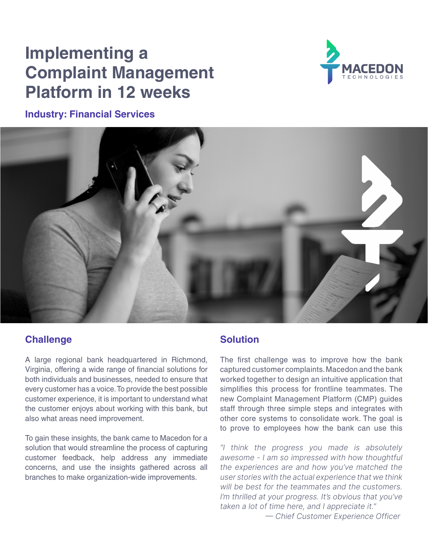# **Implementing a Complaint Management Platform in 12 weeks**

**Industry: Financial Services**





#### **Challenge**

A large regional bank headquartered in Richmond, Virginia, offering a wide range of financial solutions for both individuals and businesses, needed to ensure that every customer has a voice. To provide the best possible customer experience, it is important to understand what the customer enjoys about working with this bank, but also what areas need improvement.

To gain these insights, the bank came to Macedon for a solution that would streamline the process of capturing customer feedback, help address any immediate concerns, and use the insights gathered across all branches to make organization-wide improvements.

## **Solution**

The first challenge was to improve how the bank captured customer complaints. Macedon and the bank worked together to design an intuitive application that simplifies this process for frontline teammates. The new Complaint Management Platform (CMP) guides staff through three simple steps and integrates with other core systems to consolidate work. The goal is to prove to employees how the bank can use this

"I think the progress you made is absolutely awesome - I am so impressed with how thoughtful the experiences are and how you've matched the user stories with the actual experience that we think will be best for the teammates and the customers. I'm thrilled at your progress. It's obvious that you've taken a lot of time here, and I appreciate it."

— Chief Customer Experience Officer